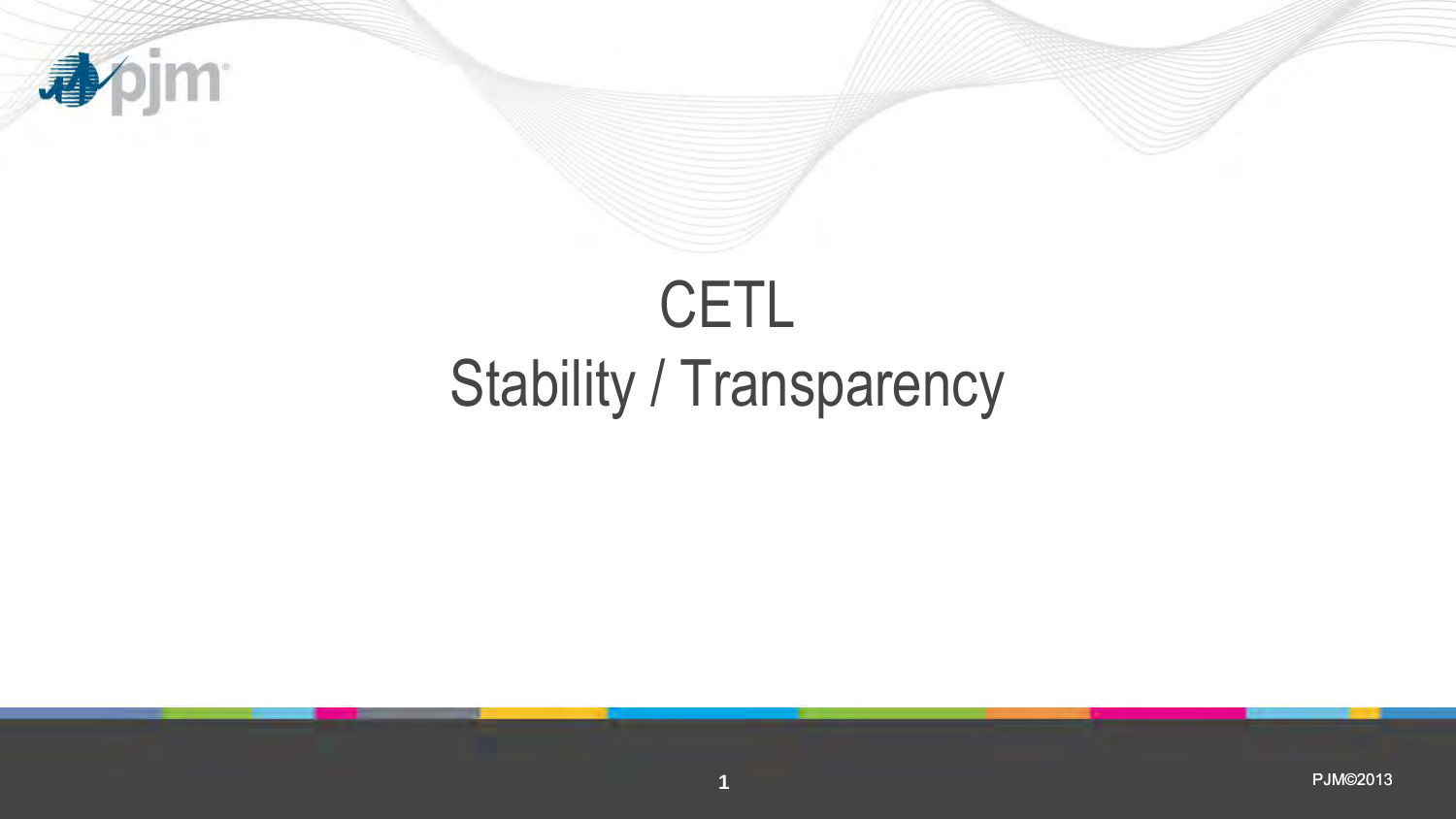

# Stability / Transparency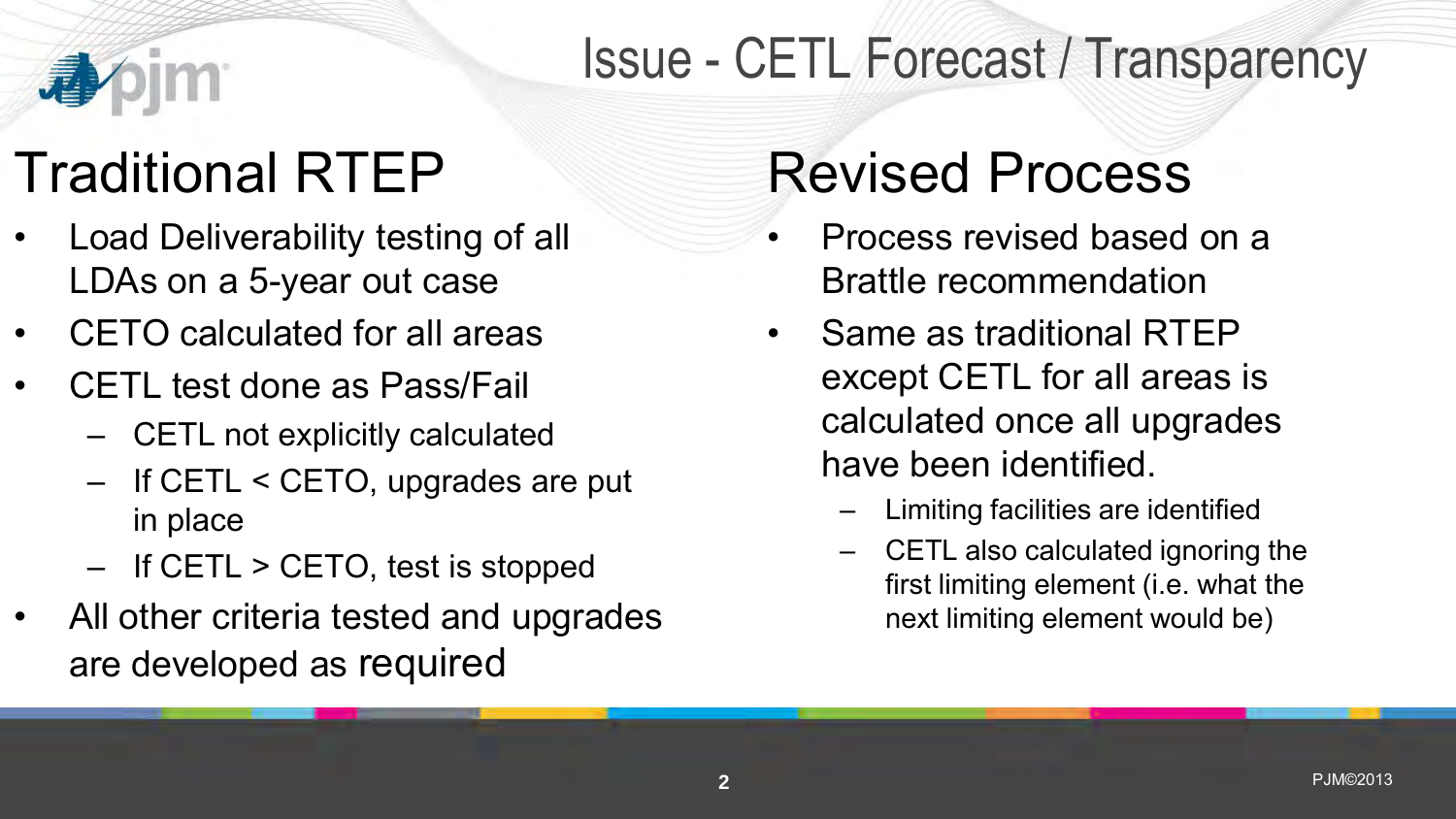

# Issue - CETL Forecast / Transparency

# Traditional RTEP

- Load Deliverability testing of all LDAs on a 5-year out case
- CETO calculated for all areas
- CETL test done as Pass/Fail
	- CETL not explicitly calculated
	- If CETL < CETO, upgrades are put in place
	- If CETL > CETO, test is stopped
- All other criteria tested and upgrades are developed as required

# Revised Process

- Process revised based on a Brattle recommendation
- Same as traditional RTEP except CETL for all areas is calculated once all upgrades have been identified.
	- Limiting facilities are identified
	- CETL also calculated ignoring the first limiting element (i.e. what the next limiting element would be)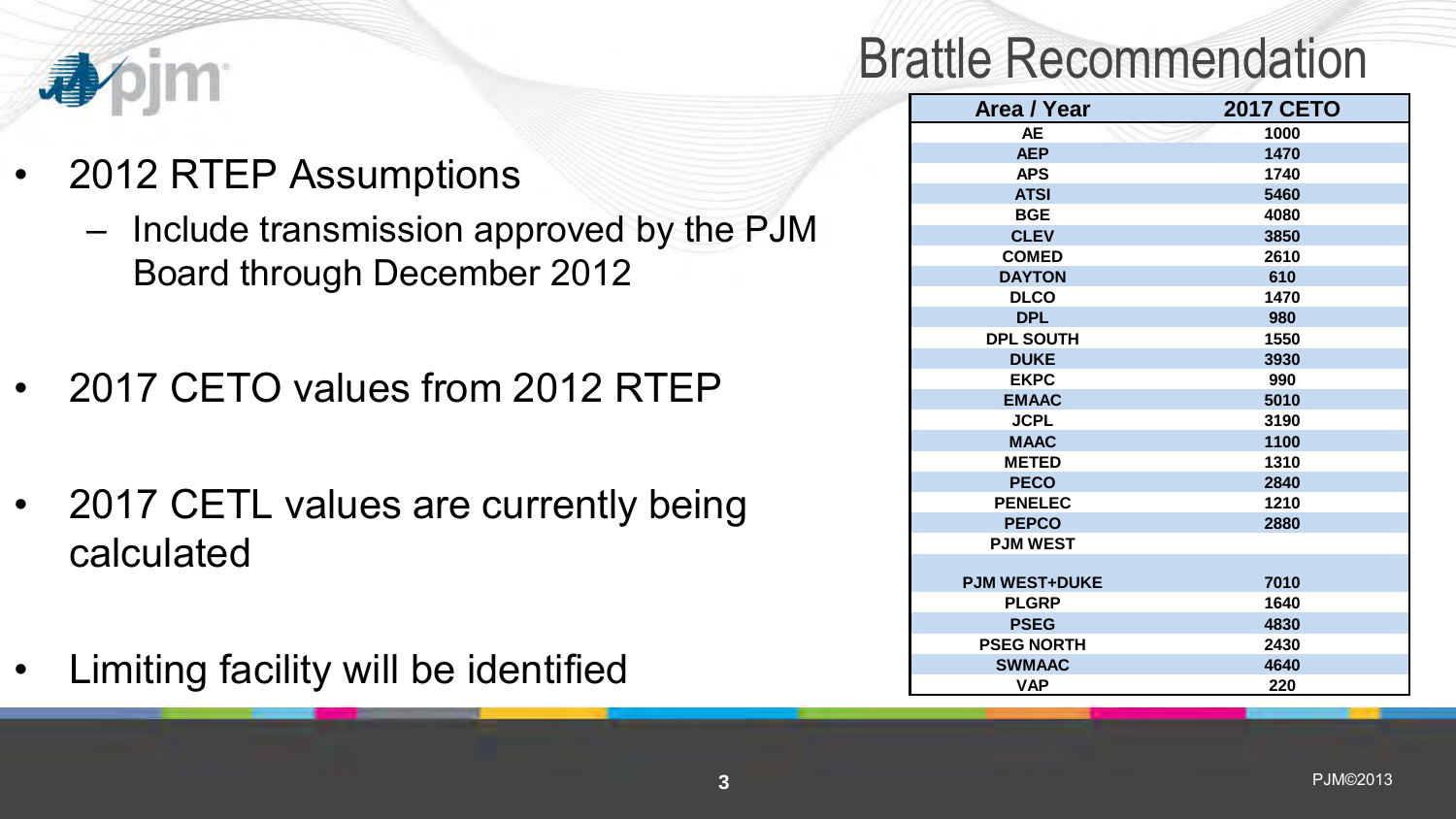

#### Brattle Recommendation

| Area / Year          | <b>2017 CETO</b> |
|----------------------|------------------|
| <b>AE</b>            | 1000             |
| <b>AEP</b>           | 1470             |
| <b>APS</b>           | 1740             |
| <b>ATSI</b>          | 5460             |
| <b>BGE</b>           | 4080             |
| <b>CLEV</b>          | 3850             |
| <b>COMED</b>         | 2610             |
| <b>DAYTON</b>        | 610              |
| <b>DLCO</b>          | 1470             |
| <b>DPL</b>           | 980              |
| <b>DPL SOUTH</b>     | 1550             |
| <b>DUKE</b>          | 3930             |
| <b>EKPC</b>          | 990              |
| <b>EMAAC</b>         | 5010             |
| <b>JCPL</b>          | 3190             |
| <b>MAAC</b>          | 1100             |
| <b>METED</b>         | 1310             |
| <b>PECO</b>          | 2840             |
| <b>PENELEC</b>       | 1210             |
| <b>PEPCO</b>         | 2880             |
| <b>PJM WEST</b>      |                  |
|                      |                  |
| <b>PJM WEST+DUKE</b> | 7010             |
| <b>PLGRP</b>         | 1640             |
| <b>PSEG</b>          | 4830             |
| <b>PSEG NORTH</b>    | 2430             |
| <b>SWMAAC</b>        | 4640             |
| <b>VAP</b>           | 220              |

- 2012 RTEP Assumptions
	- Include transmission approved by the PJM Board through December 2012
- 2017 CETO values from 2012 RTEP
- 2017 CETL values are currently being calculated
- Limiting facility will be identified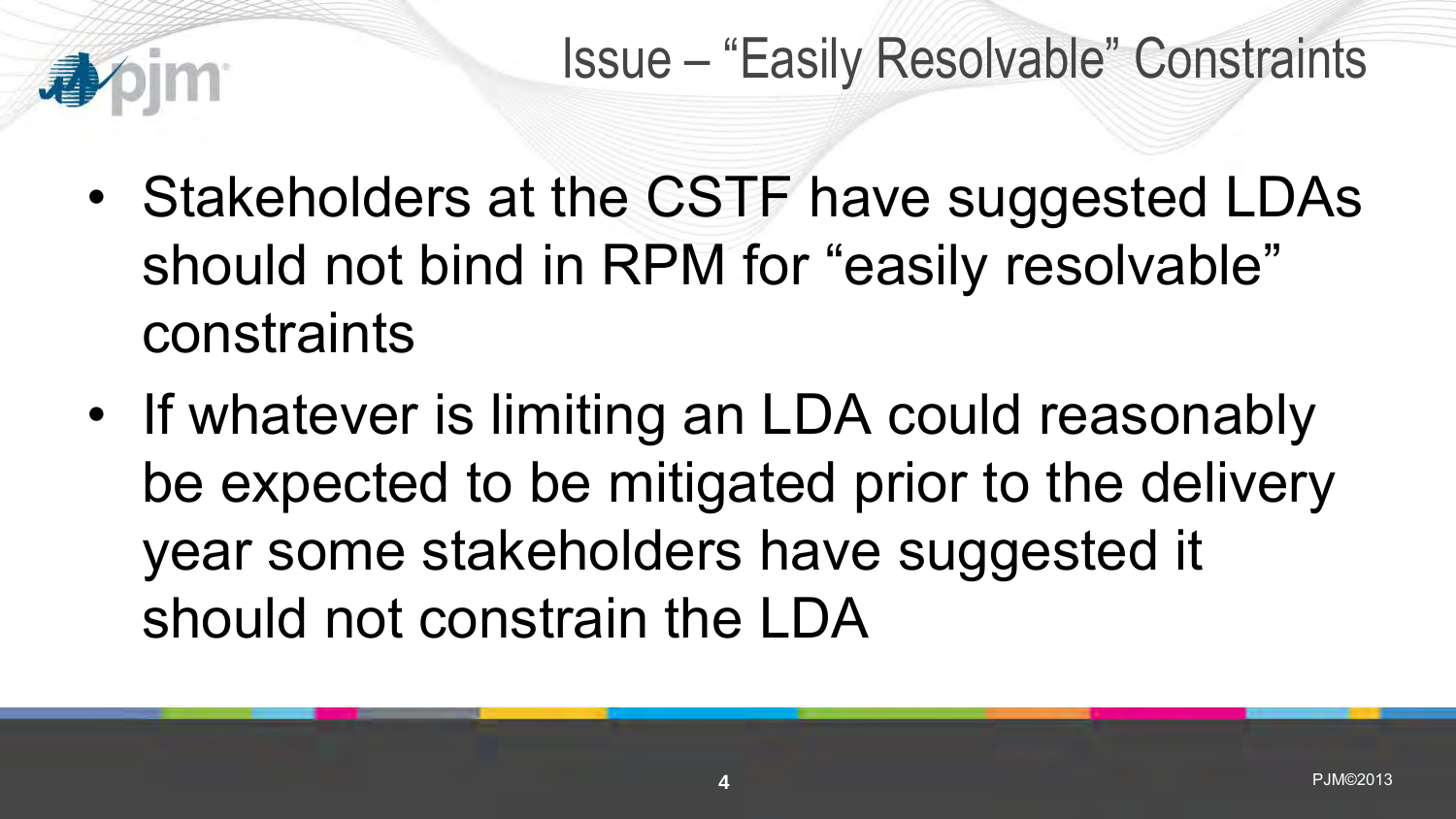## Issue – "Easily Resolvable" Constraints

- Stakeholders at the CSTF have suggested LDAs should not bind in RPM for "easily resolvable" constraints
- If whatever is limiting an LDA could reasonably be expected to be mitigated prior to the delivery year some stakeholders have suggested it should not constrain the LDA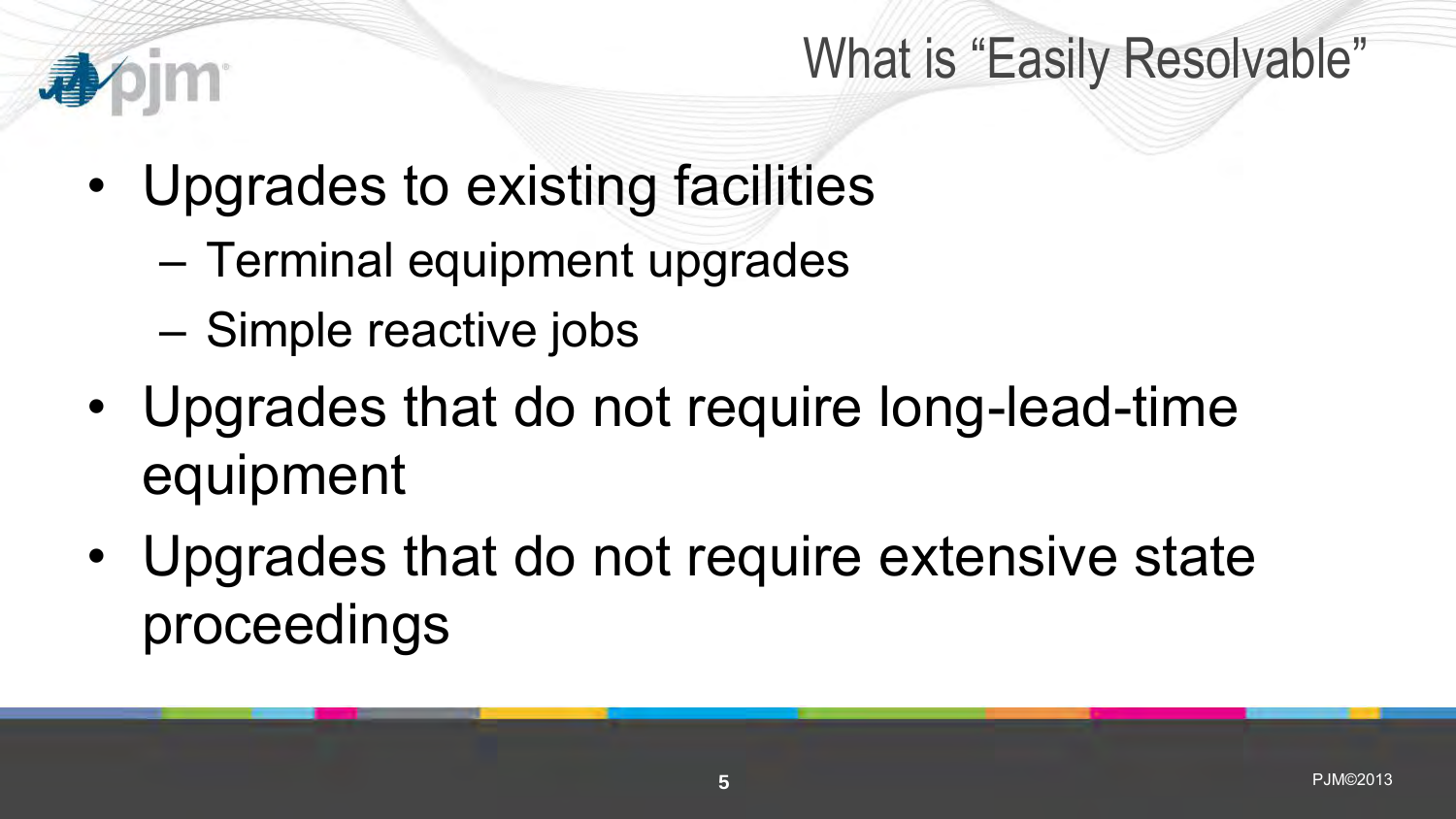## What is "Easily Resolvable"

- Upgrades to existing facilities
	- Terminal equipment upgrades
	- Simple reactive jobs
- Upgrades that do not require long-lead-time equipment
- Upgrades that do not require extensive state proceedings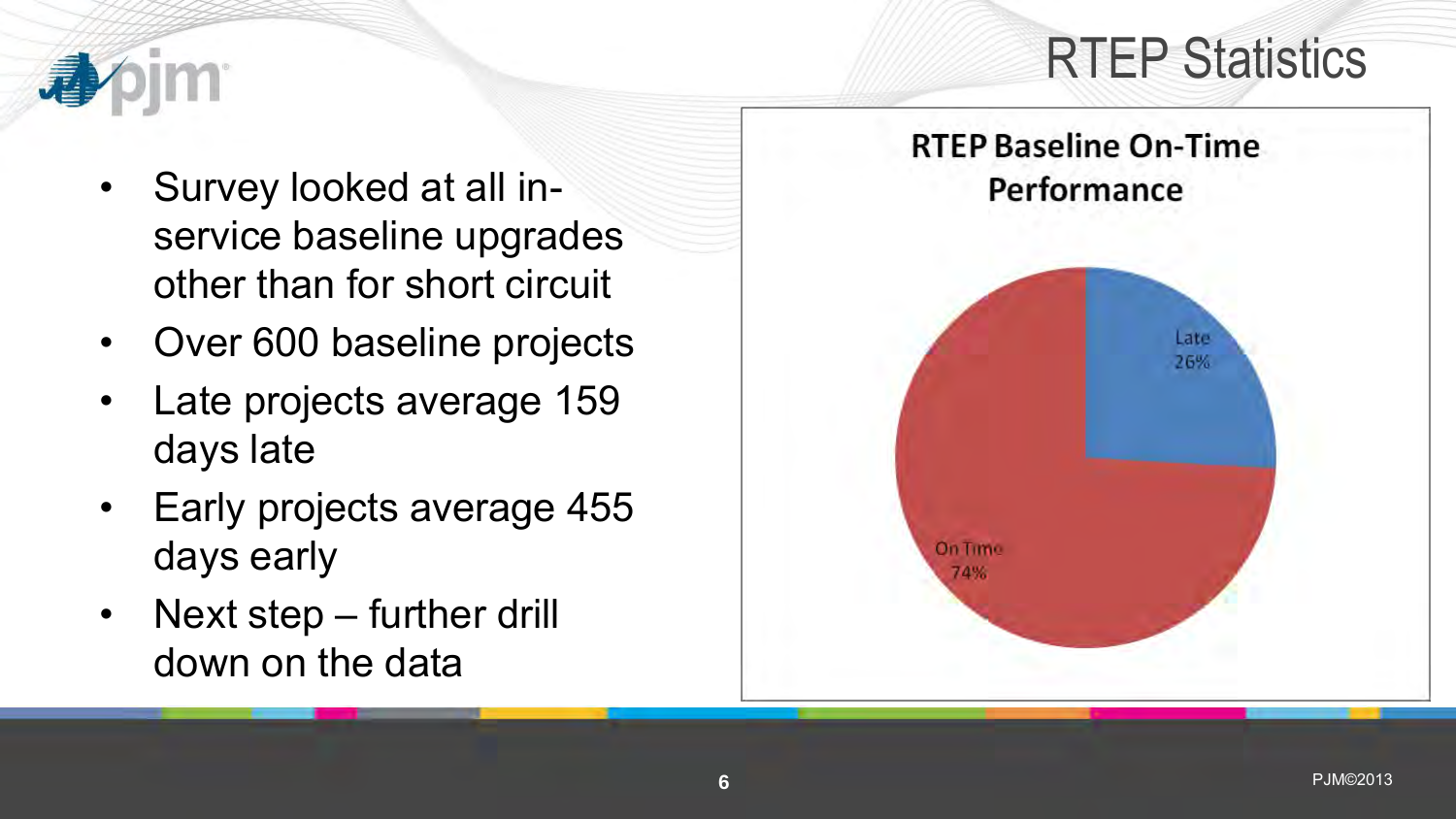# RTEP Statistics



- Survey looked at all inservice baseline upgrades other than for short circuit
- Over 600 baseline projects
- Late projects average 159 days late
- Early projects average 455 days early
- Next step further drill down on the data